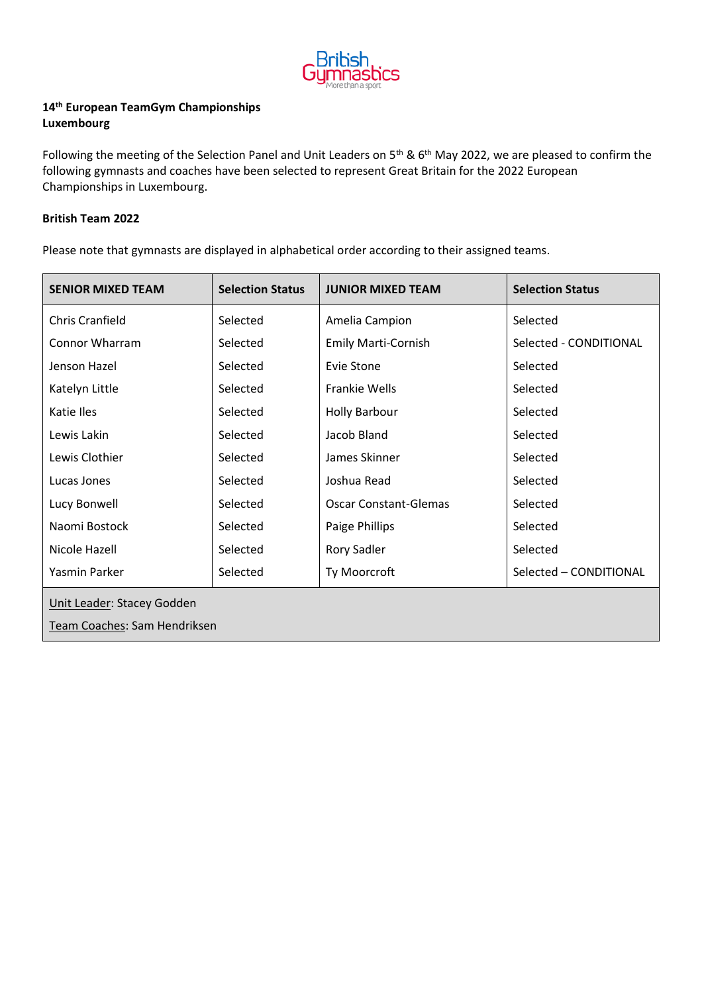

## **14th European TeamGym Championships Luxembourg**

Following the meeting of the Selection Panel and Unit Leaders on 5<sup>th</sup> & 6<sup>th</sup> May 2022, we are pleased to confirm the following gymnasts and coaches have been selected to represent Great Britain for the 2022 European Championships in Luxembourg.

## **British Team 2022**

Please note that gymnasts are displayed in alphabetical order according to their assigned teams.

| <b>SENIOR MIXED TEAM</b>     | <b>Selection Status</b> | <b>JUNIOR MIXED TEAM</b>     | <b>Selection Status</b> |  |  |
|------------------------------|-------------------------|------------------------------|-------------------------|--|--|
| <b>Chris Cranfield</b>       | Selected                | Amelia Campion               | Selected                |  |  |
| Connor Wharram               | Selected                | <b>Emily Marti-Cornish</b>   | Selected - CONDITIONAL  |  |  |
| Jenson Hazel                 | Selected                | Evie Stone                   | Selected                |  |  |
| Katelyn Little               | Selected                | Frankie Wells                | Selected                |  |  |
| Katie Iles                   | Selected                | <b>Holly Barbour</b>         | Selected                |  |  |
| Lewis Lakin                  | Selected                | Jacob Bland                  | Selected                |  |  |
| Lewis Clothier               | Selected                | James Skinner                | Selected                |  |  |
| Lucas Jones                  | Selected                | Joshua Read                  | Selected                |  |  |
| Lucy Bonwell                 | Selected                | <b>Oscar Constant-Glemas</b> | Selected                |  |  |
| Naomi Bostock                | Selected                | Paige Phillips               | Selected                |  |  |
| Nicole Hazell                | Selected                | <b>Rory Sadler</b>           | Selected                |  |  |
| Yasmin Parker                | Selected                | Ty Moorcroft                 | Selected - CONDITIONAL  |  |  |
| Unit Leader: Stacey Godden   |                         |                              |                         |  |  |
| Team Coaches: Sam Hendriksen |                         |                              |                         |  |  |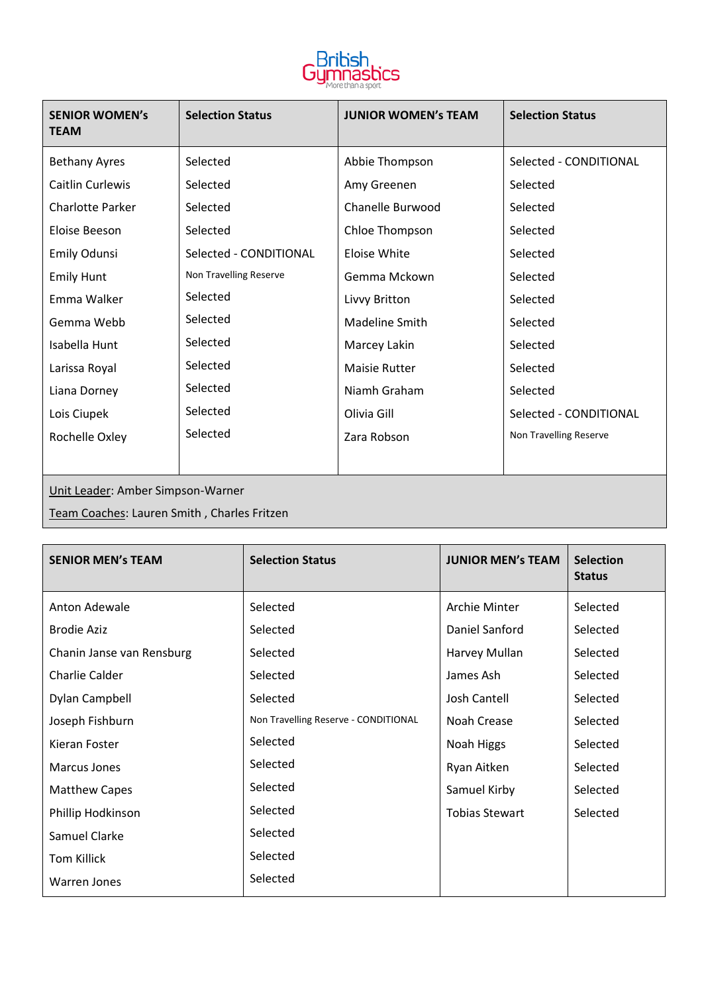

| <b>SENIOR WOMEN's</b><br><b>TEAM</b> | <b>Selection Status</b> | <b>JUNIOR WOMEN'S TEAM</b> | <b>Selection Status</b> |  |  |
|--------------------------------------|-------------------------|----------------------------|-------------------------|--|--|
| <b>Bethany Ayres</b>                 | Selected                | Abbie Thompson             | Selected - CONDITIONAL  |  |  |
| Caitlin Curlewis                     | Selected                | Amy Greenen                | Selected                |  |  |
| <b>Charlotte Parker</b>              | Selected                | Chanelle Burwood           | Selected                |  |  |
| Eloise Beeson                        | Selected                | Chloe Thompson             | Selected                |  |  |
| Emily Odunsi                         | Selected - CONDITIONAL  | Eloise White               | Selected                |  |  |
| <b>Emily Hunt</b>                    | Non Travelling Reserve  | Gemma Mckown               | Selected                |  |  |
| Emma Walker                          | Selected                | Livvy Britton              | Selected                |  |  |
| Gemma Webb                           | Selected                | <b>Madeline Smith</b>      | Selected                |  |  |
| Isabella Hunt                        | Selected                | Marcey Lakin               | Selected                |  |  |
| Larissa Royal                        | Selected                | Maisie Rutter              | Selected                |  |  |
| Liana Dorney                         | Selected                | Niamh Graham               | Selected                |  |  |
| Lois Ciupek                          | Selected                | Olivia Gill                | Selected - CONDITIONAL  |  |  |
| Rochelle Oxley                       | Selected                | Zara Robson                | Non Travelling Reserve  |  |  |
|                                      |                         |                            |                         |  |  |
| Unit Leader: Amber Simpson-Warner    |                         |                            |                         |  |  |

Team Coaches: Lauren Smith , Charles Fritzen

| <b>SENIOR MEN's TEAM</b>  | <b>Selection Status</b>              | <b>JUNIOR MEN'S TEAM</b> | <b>Selection</b><br><b>Status</b> |
|---------------------------|--------------------------------------|--------------------------|-----------------------------------|
| Anton Adewale             | Selected                             | Archie Minter            | Selected                          |
| <b>Brodie Aziz</b>        | Selected                             | Daniel Sanford           | Selected                          |
| Chanin Janse van Rensburg | Selected                             | Harvey Mullan            | Selected                          |
| Charlie Calder            | Selected                             | James Ash                | Selected                          |
| Dylan Campbell            | Selected                             | Josh Cantell             | Selected                          |
| Joseph Fishburn           | Non Travelling Reserve - CONDITIONAL | Noah Crease              | Selected                          |
| Kieran Foster             | Selected                             | Noah Higgs               | Selected                          |
| Marcus Jones              | Selected                             | Ryan Aitken              | Selected                          |
| <b>Matthew Capes</b>      | Selected                             | Samuel Kirby             | Selected                          |
| Phillip Hodkinson         | Selected                             | <b>Tobias Stewart</b>    | Selected                          |
| Samuel Clarke             | Selected                             |                          |                                   |
| <b>Tom Killick</b>        | Selected                             |                          |                                   |
| <b>Warren Jones</b>       | Selected                             |                          |                                   |